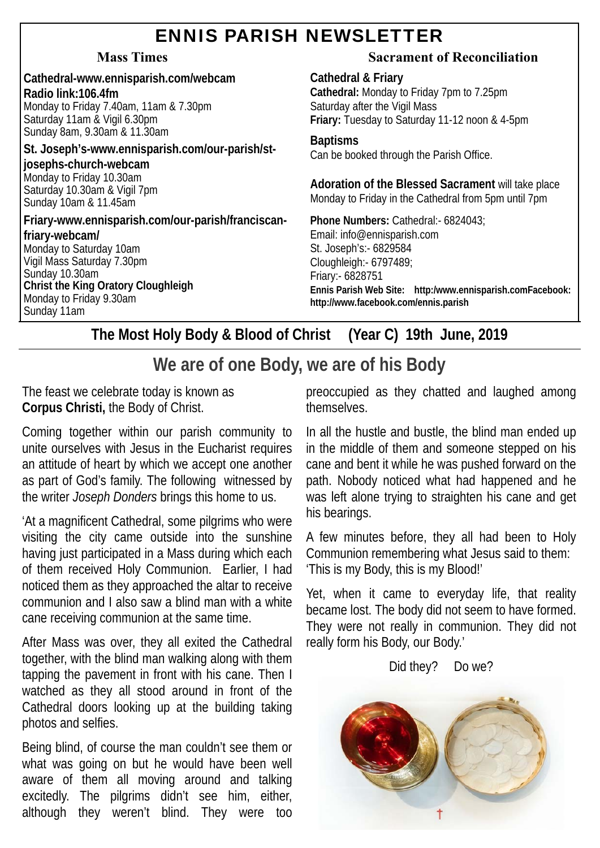## ENNIS PARISH NEWSLETTER

**Cathedral-www.ennisparish.com/webcam Radio link:106.4fm**  Monday to Friday 7.40am, 11am & 7.30pm Saturday 11am & Vigil 6.30pm Sunday 8am, 9.30am & 11.30am **St. Joseph's-www.ennisparish.com/our-parish/st-**

**josephs-church-webcam**  Monday to Friday 10.30am Saturday 10.30am & Vigil 7pm Sunday 10am & 11.45am

Sunday 11am

**Friary-www.ennisparish.com/our-parish/franciscanfriary-webcam/**  Monday to Saturday 10am Vigil Mass Saturday 7.30pm Sunday 10.30am **Christ the King Oratory Cloughleigh**  Monday to Friday 9.30am

#### **Mass Times Sacrament of Reconciliation**

**Cathedral & Friary Cathedral:** Monday to Friday 7pm to 7.25pm Saturday after the Vigil Mass **Friary:** Tuesday to Saturday 11-12 noon & 4-5pm

**Baptisms** 

Can be booked through the Parish Office.

**Adoration of the Blessed Sacrament** will take place Monday to Friday in the Cathedral from 5pm until 7pm

**Phone Numbers:** Cathedral:- 6824043; Email: info@ennisparish.com St. Joseph's:- 6829584 Cloughleigh:- 6797489; Friary:- 6828751 **Ennis Parish Web Site: http:/www.ennisparish.comFacebook: http://www.facebook.com/ennis.parish** 

**The Most Holy Body & Blood of Christ (Year C) 19th June, 2019** 

## **We are of one Body, we are of his Body**

The feast we celebrate today is known as **Corpus Christi,** the Body of Christ.

Coming together within our parish community to unite ourselves with Jesus in the Eucharist requires an attitude of heart by which we accept one another as part of God's family. The following witnessed by the writer *Joseph Donders* brings this home to us.

'At a magnificent Cathedral, some pilgrims who were visiting the city came outside into the sunshine having just participated in a Mass during which each of them received Holy Communion. Earlier, I had noticed them as they approached the altar to receive communion and I also saw a blind man with a white cane receiving communion at the same time.

After Mass was over, they all exited the Cathedral together, with the blind man walking along with them tapping the pavement in front with his cane. Then I watched as they all stood around in front of the Cathedral doors looking up at the building taking photos and selfies.

Being blind, of course the man couldn't see them or what was going on but he would have been well aware of them all moving around and talking excitedly. The pilgrims didn't see him, either, although they weren't blind. They were too

preoccupied as they chatted and laughed among themselves.

In all the hustle and bustle, the blind man ended up in the middle of them and someone stepped on his cane and bent it while he was pushed forward on the path. Nobody noticed what had happened and he was left alone trying to straighten his cane and get his bearings.

A few minutes before, they all had been to Holy Communion remembering what Jesus said to them: 'This is my Body, this is my Blood!'

Yet, when it came to everyday life, that reality became lost. The body did not seem to have formed. They were not really in communion. They did not really form his Body, our Body.'

Did they? Do we?

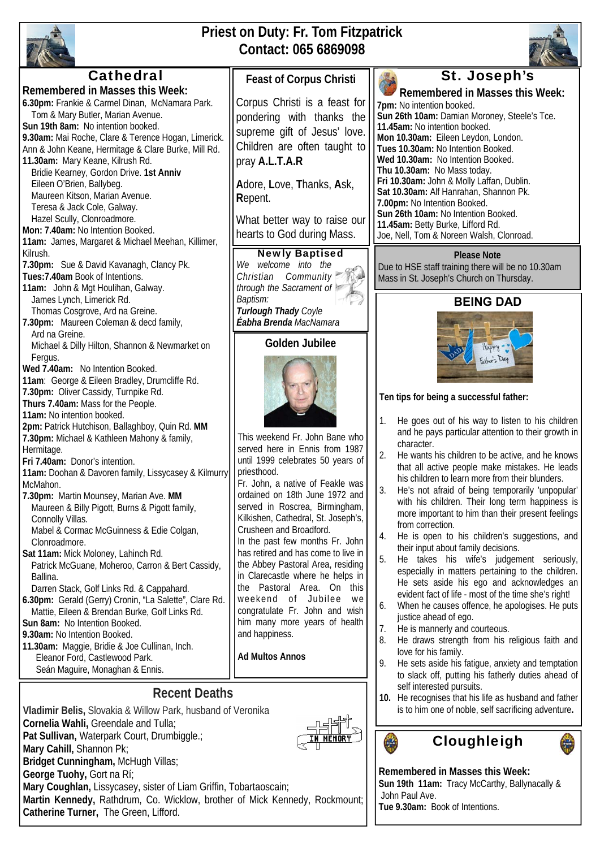

## **Priest on Duty: Fr. Tom Fitzpatrick Contact: 065 6869098**

Newly Baptised

**Golden Jubilee** 

In the past few months Fr. John has retired and has come to live in the Abbey Pastoral Area, residing in Clarecastle where he helps in the Pastoral Area. On this weekend of Jubilee we congratulate Fr. John and wish him many more years of health

and happiness.

**Ad Multos Annos** 



# **Cathedral**

**Remembered in Masses this Week: 6.30pm:** Frankie & Carmel Dinan, McNamara Park. Tom & Mary Butler, Marian Avenue. **Sun 19th 8am:** No intention booked. **9.30am:** Mai Roche, Clare & Terence Hogan, Limerick. Ann & John Keane, Hermitage & Clare Burke, Mill Rd. **11.30am:** Mary Keane, Kilrush Rd. Bridie Kearney, Gordon Drive. **1st Anniv**  Eileen O'Brien, Ballybeg. Maureen Kitson, Marian Avenue. Teresa & Jack Cole, Galway. Hazel Scully, Clonroadmore. **Mon: 7.40am:** No Intention Booked. **11am:** James, Margaret & Michael Meehan, Killimer, Kilrush. **7.30pm:** Sue & David Kavanagh, Clancy Pk. **Tues:7.40am** Book of Intentions. **11am:** John & Mgt Houlihan, Galway. James Lynch, Limerick Rd. Thomas Cosgrove, Ard na Greine. **7.30pm:** Maureen Coleman & decd family, Ard na Greine. Michael & Dilly Hilton, Shannon & Newmarket on Fergus. **Wed 7.40am:** No Intention Booked. **11am**: George & Eileen Bradley, Drumcliffe Rd. **7.30pm:** Oliver Cassidy, Turnpike Rd. **Thurs 7.40am:** Mass for the People. **11am:** No intention booked. **2pm:** Patrick Hutchison, Ballaghboy, Quin Rd. **MM 7.30pm:** Michael & Kathleen Mahony & family, Hermitage. **Fri 7.40am:** Donor's intention. **11am:** Doohan & Davoren family, Lissycasey & Kilmurry McMahon. **7.30pm:** Martin Mounsey, Marian Ave. **MM**  Maureen & Billy Pigott, Burns & Pigott family, Connolly Villas. Mabel & Cormac McGuinness & Edie Colgan, *We welcome into the Christian Community through the Sacrament of Baptism: Turlough Thady Coyle Éabha Brenda MacNamara* **Feast of Corpus Christi**  Corpus Christi is a feast for pondering with thanks the supreme gift of Jesus' love. Children are often taught to pray **A.L.T.A.R A**dore, **L**ove, **T**hanks, **A**sk, **R**epent. What better way to raise our hearts to God during Mass. This weekend Fr. John Bane who served here in Ennis from 1987 until 1999 celebrates 50 years of priesthood. Fr. John, a native of Feakle was ordained on 18th June 1972 and served in Roscrea, Birmingham, Kilkishen, Cathedral, St. Joseph's, Crusheen and Broadford.

- Clonroadmore. **Sat 11am:** Mick Moloney, Lahinch Rd. Patrick McGuane, Moheroo, Carron & Bert Cassidy, Ballina.
- Darren Stack, Golf Links Rd. & Cappahard.
- **6.30pm:** Gerald (Gerry) Cronin, "La Salette", Clare Rd. Mattie, Eileen & Brendan Burke, Golf Links Rd.

**Sun 8am:** No Intention Booked. **9.30am:** No Intention Booked.

**11.30am:** Maggie, Bridie & Joe Cullinan, Inch. Eleanor Ford, Castlewood Park.

**Catherine Turner,** The Green, Lifford.

Seán Maguire, Monaghan & Ennis.

#### **Recent Deaths**

**Vladimir Belis,** Slovakia & Willow Park, husband of Veronika **Cornelia Wahli,** Greendale and Tulla; **Pat Sullivan,** Waterpark Court, Drumbiggle.; **Mary Cahill,** Shannon Pk; **Bridget Cunningham,** McHugh Villas; **George Tuohy,** Gort na Rí; **Mary Coughlan,** Lissycasey, sister of Liam Griffin, Tobartaoscain; **Martin Kennedy,** Rathdrum, Co. Wicklow, brother of Mick Kennedy, Rockmount;

#### **7pm:** No intention booked. **Sun 26th 10am:** Damian Moroney, Steele's Tce.

**Remembered in Masses this Week:** 

**11.45am:** No intention booked. **Mon 10.30am:** Eileen Leydon, London. **Tues 10.30am:** No Intention Booked. **Wed 10.30am:** No Intention Booked. **Thu 10.30am:** No Mass today. **Fri 10.30am:** John & Molly Laffan, Dublin. **Sat 10.30am:** Alf Hanrahan, Shannon Pk. **7.00pm:** No Intention Booked. **Sun 26th 10am:** No Intention Booked. **11.45am:** Betty Burke, Lifford Rd. Joe, Nell, Tom & Noreen Walsh, Clonroad.

#### **Please Note**

Due to HSE staff training there will be no 10.30am Mass in St. Joseph's Church on Thursday.

### **BEING DAD**



#### **Ten tips for being a successful father:**

- 1. He goes out of his way to listen to his children and he pays particular attention to their growth in character.
- 2. He wants his children to be active, and he knows that all active people make mistakes. He leads his children to learn more from their blunders.
- 3. He's not afraid of being temporarily 'unpopular' with his children. Their long term happiness is more important to him than their present feelings from correction.
- 4. He is open to his children's suggestions, and their input about family decisions.
- 5. He takes his wife's judgement seriously, especially in matters pertaining to the children. He sets aside his ego and acknowledges an evident fact of life - most of the time she's right!
- 6. When he causes offence, he apologises. He puts justice ahead of ego.
- 7. He is mannerly and courteous.
- 8. He draws strength from his religious faith and love for his family.
- 9. He sets aside his fatigue, anxiety and temptation to slack off, putting his fatherly duties ahead of self interested pursuits.
- **10.** He recognises that his life as husband and father is to him one of noble, self sacrificing adventure**.**





**Remembered in Masses this Week:** 

**Sun 19th 11am:** Tracy McCarthy, Ballynacally & John Paul Ave.

**Tue 9.30am:** Book of Intentions.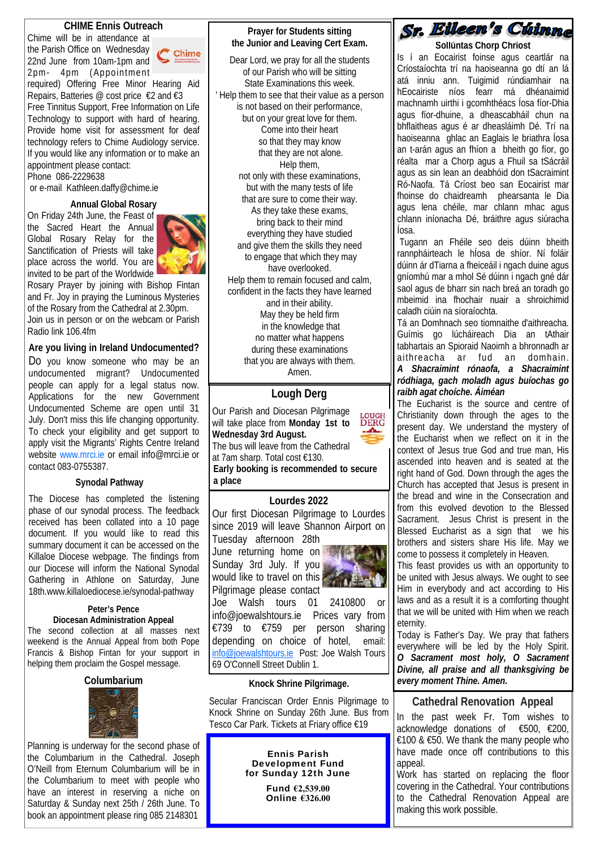#### **CHIME Ennis Outreach**

Chime will be in attendance at the Parish Office on Wednesday 22nd June from 10am-1pm and 2pm- 4pm (Appointment

required) Offering Free Minor Hearing Aid Repairs, Batteries @ cost price €2 and €3 Free Tinnitus Support, Free Information on Life Technology to support with hard of hearing. Provide home visit for assessment for deaf technology refers to Chime Audiology service. If you would like any information or to make an appointment please contact:

Phone 086-2229638

or e-mail Kathleen.daffy@chime.ie

#### **Annual Global Rosary**

On Friday 24th June, the Feast of the Sacred Heart the Annual Global Rosary Relay for the Sanctification of Priests will take place across the world. You are invited to be part of the Worldwide



Rosary Prayer by joining with Bishop Fintan and Fr. Joy in praying the Luminous Mysteries of the Rosary from the Cathedral at 2.30pm. Join us in person or on the webcam or Parish Radio link 106.4fm

#### **Are you living in Ireland Undocumented?**

Do you know someone who may be an undocumented migrant? Undocumented people can apply for a legal status now. Applications for the new Government Undocumented Scheme are open until 31 July. Don't miss this life changing opportunity. To check your eligibility and get support to apply visit the Migrants' Rights Centre Ireland website www.mrci.ie or email info@mrci.ie or contact 083-0755387.

#### **Synodal Pathway**

The Diocese has completed the listening phase of our synodal process. The feedback received has been collated into a 10 page document. If you would like to read this summary document it can be accessed on the Killaloe Diocese webpage. The findings from our Diocese will inform the National Synodal Gathering in Athlone on Saturday, June 18th.www.killaloediocese.ie/synodal-pathway

#### **Peter's Pence Diocesan Administration Appeal**

The second collection at all masses next weekend is the Annual Appeal from both Pope Francis & Bishop Fintan for your support in helping them proclaim the Gospel message.

#### **Columbarium**



Planning is underway for the second phase of the Columbarium in the Cathedral. Joseph O'Neill from Eternum Columbarium will be in the Columbarium to meet with people who have an interest in reserving a niche on Saturday & Sunday next 25th / 26th June. To book an appointment please ring 085 2148301

#### **Prayer for Students sitting the Junior and Leaving Cert Exam.**

Dear Lord, we pray for all the students of our Parish who will be sitting State Examinations this week. ' Help them to see that their value as a person is not based on their performance, but on your great love for them. Come into their heart so that they may know that they are not alone. Help them, not only with these examinations, but with the many tests of life that are sure to come their way. As they take these exams, bring back to their mind everything they have studied and give them the skills they need to engage that which they may have overlooked. Help them to remain focused and calm, confident in the facts they have learned and in their ability. May they be held firm in the knowledge that no matter what happens during these examinations that you are always with them. Amen.

#### **Lough Derg**

Our Parish and Diocesan Pilgrimage **LOUGH**<br>DERG will take place from **Monday 1st to**  <u>. А., </u> **Wednesday 3rd August.**  The bus will leave from the Cathedral at 7am sharp. Total cost €130. **Early booking is recommended to secure a place**

#### **Lourdes 2022**

Our first Diocesan Pilgrimage to Lourdes since 2019 will leave Shannon Airport on

Tuesday afternoon 28th June returning home on Sunday 3rd July. If you would like to travel on this Pilgrimage please contact



Joe Walsh tours 01 2410800 or info@joewalshtours.ie Prices vary from €739 to €759 per person sharing depending on choice of hotel, email: info@joewalshtours.ie Post: Joe Walsh Tours 69 O'Connell Street Dublin 1.

#### **Knock Shrine Pilgrimage.**

Secular Franciscan Order Ennis Pilgrimage to Knock Shrine on Sunday 26th June. Bus from Tesco Car Park. Tickets at Friary office €19

> Ennis Parish Development Fund for Sunday 12th June

> > Fund **€2,539.00** Online **€326.00**

## Sr. Eileen's Cuimm

 **Sollúntas Chorp Chríost**  Is í an Eocairist foinse agus ceartlár na Críostaíochta trí na haoiseanna go dtí an lá atá inniu ann. Tuigimid rúndiamhair na hEocairiste níos fearr má dhéanaimid machnamh uirthi i gcomhthéacs Íosa fíor-Dhia agus fíor-dhuine, a dheascabháil chun na bhflaitheas agus é ar dheasláimh Dé. Trí na haoiseanna ghlac an Eaglais le briathra Íosa an t-arán agus an fhíon a bheith go fíor, go réalta mar a Chorp agus a Fhuil sa tSácráil agus as sin lean an deabhóid don tSacraimint Ró-Naofa. Tá Críost beo san Eocairist mar fhoinse do chaidreamh phearsanta le Dia agus lena chéile, mar chlann mhac agus chlann iníonacha Dé, bráithre agus siúracha Íosa.

 Tugann an Fhéile seo deis dúinn bheith rannpháirteach le hÍosa de shíor. Ní foláir dúinn ár dTiarna a fheiceáil i ngach duine agus gníomhú mar a mhol Sé dúinn i ngach gné dár saol agus de bharr sin nach breá an toradh go mbeimid ina fhochair nuair a shroichimid caladh ciúin na síoraíochta.

Tá an Domhnach seo tiomnaithe d'aithreacha. Guímis go lúcháireach Dia an tAthair tabhartais an Spioraid Naoimh a bhronnadh ar aithreacha ar fud an domhain.

#### *A Shacraimint rónaofa, a Shacraimint ródhiaga, gach moladh agus buíochas go raibh agat choíche. Áiméan*

The Eucharist is the source and centre of Christianity down through the ages to the present day. We understand the mystery of the Eucharist when we reflect on it in the context of Jesus true God and true man, His ascended into heaven and is seated at the right hand of God. Down through the ages the Church has accepted that Jesus is present in the bread and wine in the Consecration and from this evolved devotion to the Blessed Sacrament. Jesus Christ is present in the Blessed Eucharist as a sign that we his brothers and sisters share His life. May we come to possess it completely in Heaven.

This feast provides us with an opportunity to be united with Jesus always. We ought to see Him in everybody and act according to His laws and as a result it is a comforting thought that we will be united with Him when we reach eternity.

Today is Father's Day. We pray that fathers everywhere will be led by the Holy Spirit. *O Sacrament most holy, O Sacrament Divine, all praise and all thanksgiving be every moment Thine. Amen.*

#### **Cathedral Renovation Appeal**

In the past week Fr. Tom wishes to acknowledge donations of €500, €200, €100 & €50. We thank the many people who have made once off contributions to this appeal.

Work has started on replacing the floor covering in the Cathedral. Your contributions to the Cathedral Renovation Appeal are making this work possible.